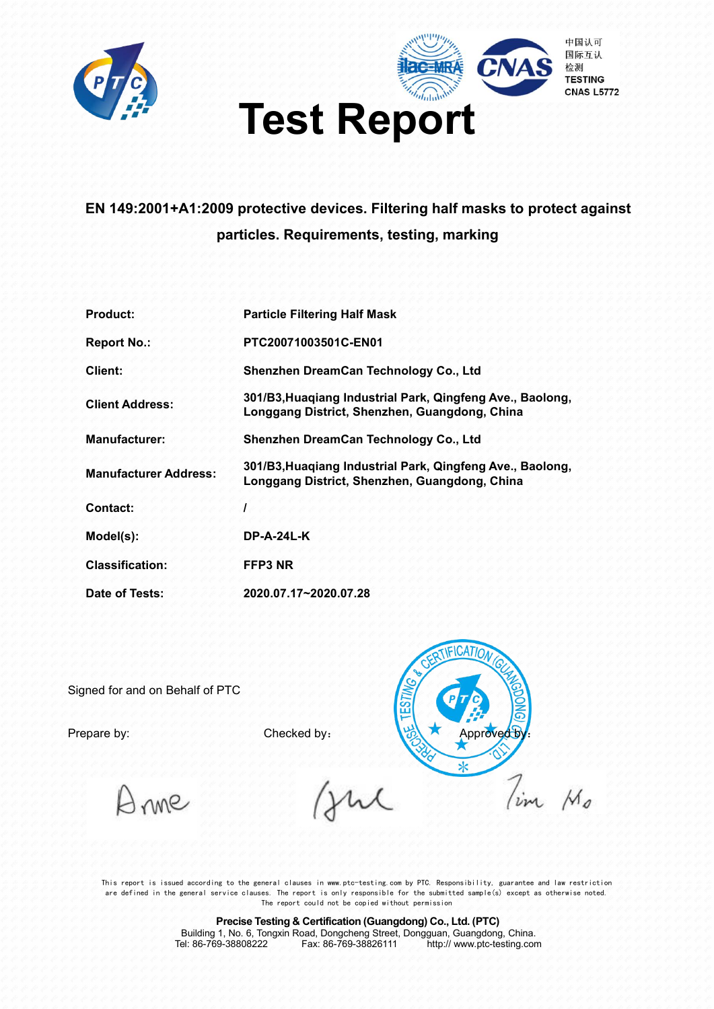



### **EN 149:2001+A1:2009 protective devices. Filtering half masks to protect against particles. Requirements, testing, marking**

| <b>Product:</b>              | <b>Particle Filtering Half Mask</b>                                                                        |
|------------------------------|------------------------------------------------------------------------------------------------------------|
| <b>Report No.:</b>           | PTC20071003501C-EN01                                                                                       |
| Client:                      | Shenzhen DreamCan Technology Co., Ltd                                                                      |
| <b>Client Address:</b>       | 301/B3, Huaqiang Industrial Park, Qingfeng Ave., Baolong,<br>Longgang District, Shenzhen, Guangdong, China |
| <b>Manufacturer:</b>         | Shenzhen DreamCan Technology Co., Ltd                                                                      |
| <b>Manufacturer Address:</b> | 301/B3, Huagiang Industrial Park, Qingfeng Ave., Baolong,<br>Longgang District, Shenzhen, Guangdong, China |
| Contact:                     |                                                                                                            |
| Model(s):                    | <b>DP-A-24L-K</b>                                                                                          |
| <b>Classification:</b>       | FFP3 NR                                                                                                    |
| Date of Tests:               | 2020.07.17~2020.07.28                                                                                      |

Signed for and on Behalf of PTC

**IFICATION** .<br>تا Prepare by: Approved By: Checked by: Approved B  $\overline{\mathbf{x}}$  $7_{im}$ 

 $M_{\rm g}$ 

Inne

This report is issued according to the general clauses in www.ptc-testing.com by PTC. Responsibility, guarantee and law restriction are defined in the general service clauses. The report is only responsible for the submitted sample(s) except as otherwise noted. The report could not be copied without permission

> **Precise Testing & Certification (Guangdong) Co., Ltd. (PTC)** Building 1, No. 6, Tongxin Road, Dongcheng Street, Dongguan, Guangdong, China. Tel: 86-769-38808222 Fax:86-769-38826111 http:// www.ptc-testing.com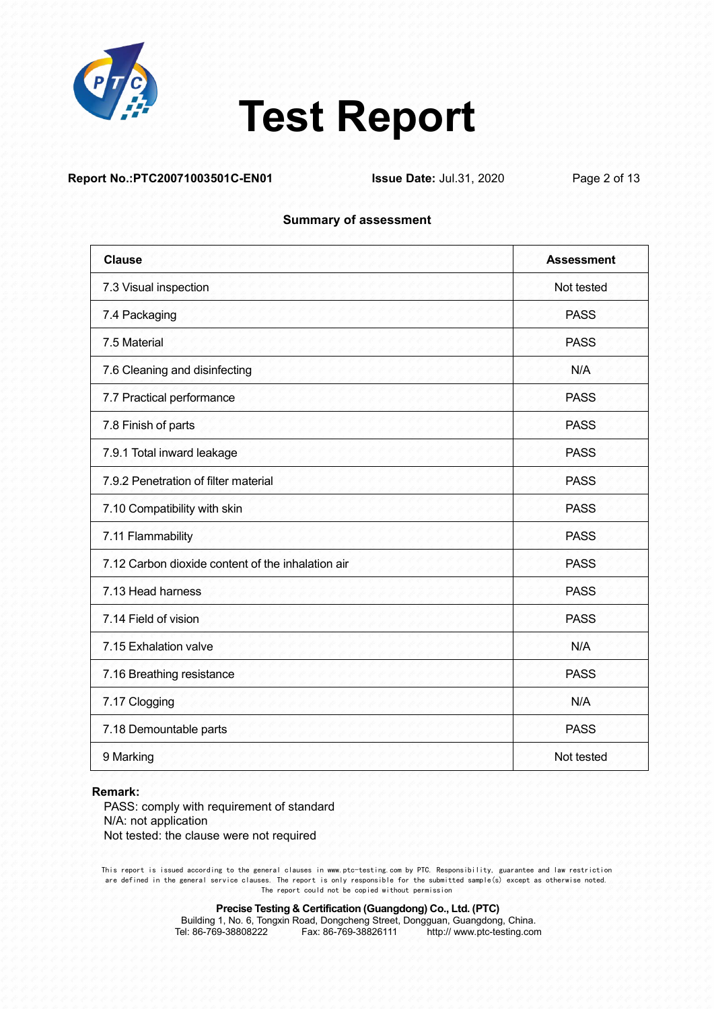

#### **Report No.:PTC20071003501C-EN01 Issue Date:** Jul.31, 2020 Page 2 of 13

#### **Summary of assessment**

| <b>Clause</b>                                     | <b>Assessment</b> |
|---------------------------------------------------|-------------------|
| 7.3 Visual inspection                             | Not tested        |
| 7.4 Packaging                                     | <b>PASS</b>       |
| 7.5 Material                                      | <b>PASS</b>       |
| 7.6 Cleaning and disinfecting                     | N/A               |
| 7.7 Practical performance                         | <b>PASS</b>       |
| 7.8 Finish of parts                               | <b>PASS</b>       |
| 7.9.1 Total inward leakage                        | <b>PASS</b>       |
| 7.9.2 Penetration of filter material              | <b>PASS</b>       |
| 7.10 Compatibility with skin                      | <b>PASS</b>       |
| 7.11 Flammability                                 | <b>PASS</b>       |
| 7.12 Carbon dioxide content of the inhalation air | <b>PASS</b>       |
| 7.13 Head harness                                 | <b>PASS</b>       |
| 7.14 Field of vision                              | <b>PASS</b>       |
| 7.15 Exhalation valve                             | N/A               |
| 7.16 Breathing resistance                         | PASS              |
| 7.17 Clogging                                     | N/A               |
| 7.18 Demountable parts                            | <b>PASS</b>       |
| 9 Marking                                         | Not tested        |

#### **Remark:**

PASS: comply with requirement of standard N/A: not application Not tested: the clause were not required

This report is issued according to the general clauses in www.ptc-testing.com by PTC. Responsibility, guarantee and law restriction are defined in the general service clauses. The report is only responsible for the submitted sample(s) except as otherwise noted. The report could not be copied without permission

**Precise Testing & Certification (Guangdong) Co., Ltd. (PTC)**

Building 1, No. 6, Tongxin Road, Dongcheng Street, Dongguan, Guangdong, China.<br>Tel: 86-769-38808222 Fax: 86-769-38826111 http:// www.ptc-testing.com http:// www.ptc-testing.com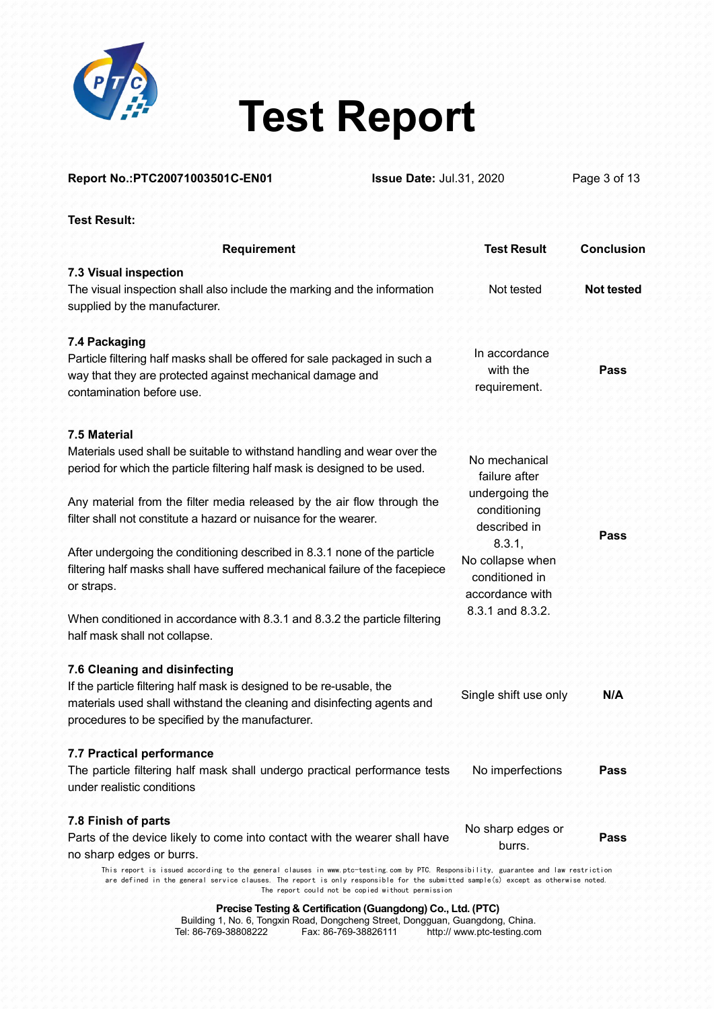

| <b>Test Result</b><br><b>Requirement</b><br>Not tested<br>In accordance<br>with the<br>Pass<br>requirement.<br>No mechanical<br>failure after<br>undergoing the<br>conditioning<br>described in<br>Pass<br>8.3.1,<br>No collapse when<br>filtering half masks shall have suffered mechanical failure of the facepiece<br>conditioned in<br>accordance with | Report No.: PTC20071003501C-EN01<br><b>Issue Date: Jul.31, 2020</b>                                                                                                                                                                 | Page 3 of 13      |  |
|------------------------------------------------------------------------------------------------------------------------------------------------------------------------------------------------------------------------------------------------------------------------------------------------------------------------------------------------------------|-------------------------------------------------------------------------------------------------------------------------------------------------------------------------------------------------------------------------------------|-------------------|--|
|                                                                                                                                                                                                                                                                                                                                                            | <b>Test Result:</b>                                                                                                                                                                                                                 |                   |  |
|                                                                                                                                                                                                                                                                                                                                                            |                                                                                                                                                                                                                                     | <b>Conclusion</b> |  |
|                                                                                                                                                                                                                                                                                                                                                            | 7.3 Visual inspection<br>The visual inspection shall also include the marking and the information<br>supplied by the manufacturer.                                                                                                  | <b>Not tested</b> |  |
|                                                                                                                                                                                                                                                                                                                                                            | 7.4 Packaging<br>Particle filtering half masks shall be offered for sale packaged in such a<br>way that they are protected against mechanical damage and<br>contamination before use.                                               |                   |  |
|                                                                                                                                                                                                                                                                                                                                                            | 7.5 Material<br>Materials used shall be suitable to withstand handling and wear over the<br>period for which the particle filtering half mask is designed to be used.                                                               |                   |  |
|                                                                                                                                                                                                                                                                                                                                                            | Any material from the filter media released by the air flow through the<br>filter shall not constitute a hazard or nuisance for the wearer.                                                                                         |                   |  |
|                                                                                                                                                                                                                                                                                                                                                            | After undergoing the conditioning described in 8.3.1 none of the particle<br>or straps.                                                                                                                                             |                   |  |
| 8.3.1 and 8.3.2.                                                                                                                                                                                                                                                                                                                                           | When conditioned in accordance with 8.3.1 and 8.3.2 the particle filtering<br>half mask shall not collapse.                                                                                                                         |                   |  |
| Single shift use only<br>N/A                                                                                                                                                                                                                                                                                                                               | 7.6 Cleaning and disinfecting<br>If the particle filtering half mask is designed to be re-usable, the<br>materials used shall withstand the cleaning and disinfecting agents and<br>procedures to be specified by the manufacturer. |                   |  |
| No imperfections<br>The particle filtering half mask shall undergo practical performance tests<br>Pass                                                                                                                                                                                                                                                     | 7.7 Practical performance<br>under realistic conditions                                                                                                                                                                             |                   |  |
| No sharp edges or<br>Parts of the device likely to come into contact with the wearer shall have<br>Pass<br>burrs.                                                                                                                                                                                                                                          | 7.8 Finish of parts<br>no sharp edges or burrs.                                                                                                                                                                                     |                   |  |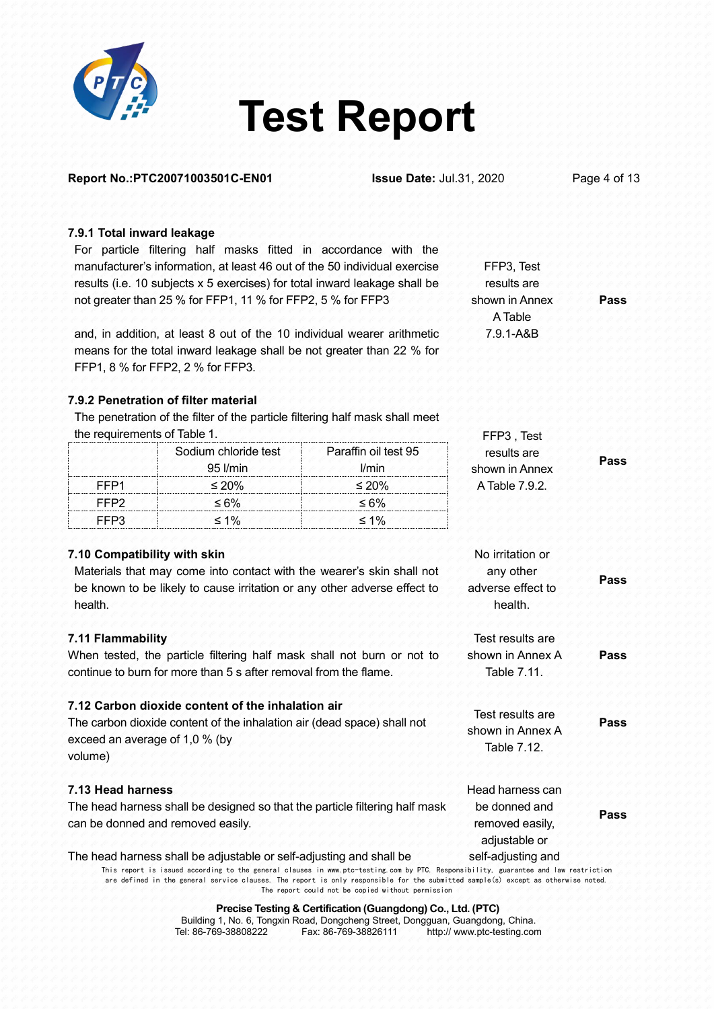

| Report No.: PTC20071003501C-EN01<br><b>Issue Date: Jul.31, 2020</b> |                                                                                                                                                   |                                                                                                                                     | Page 4 of 13                         |      |
|---------------------------------------------------------------------|---------------------------------------------------------------------------------------------------------------------------------------------------|-------------------------------------------------------------------------------------------------------------------------------------|--------------------------------------|------|
| 7.9.1 Total inward leakage                                          |                                                                                                                                                   |                                                                                                                                     |                                      |      |
|                                                                     | For particle filtering half masks fitted in accordance with the                                                                                   |                                                                                                                                     |                                      |      |
|                                                                     | manufacturer's information, at least 46 out of the 50 individual exercise                                                                         |                                                                                                                                     | FFP3, Test                           |      |
|                                                                     | results (i.e. 10 subjects x 5 exercises) for total inward leakage shall be                                                                        |                                                                                                                                     | results are                          |      |
|                                                                     | not greater than 25 % for FFP1, 11 % for FFP2, 5 % for FFP3                                                                                       |                                                                                                                                     | shown in Annex                       | Pass |
|                                                                     | and, in addition, at least 8 out of the 10 individual wearer arithmetic                                                                           |                                                                                                                                     | A Table<br>7.9.1-A&B                 |      |
|                                                                     | means for the total inward leakage shall be not greater than 22 % for                                                                             |                                                                                                                                     |                                      |      |
|                                                                     | FFP1, 8 % for FFP2, 2 % for FFP3.                                                                                                                 |                                                                                                                                     |                                      |      |
|                                                                     | 7.9.2 Penetration of filter material                                                                                                              |                                                                                                                                     |                                      |      |
|                                                                     | The penetration of the filter of the particle filtering half mask shall meet                                                                      |                                                                                                                                     |                                      |      |
| the requirements of Table 1.                                        |                                                                                                                                                   |                                                                                                                                     | FFP3, Test                           |      |
|                                                                     | Sodium chloride test                                                                                                                              | Paraffin oil test 95                                                                                                                | results are                          | Pass |
|                                                                     | 95 l/min                                                                                                                                          | l/min                                                                                                                               | shown in Annex                       |      |
| FFP <sub>1</sub>                                                    | $\leq 20\%$                                                                                                                                       | $\leq 20\%$                                                                                                                         | A Table 7.9.2                        |      |
| FFP <sub>2</sub>                                                    | $\leq 6\%$                                                                                                                                        | $\leq 6\%$                                                                                                                          |                                      |      |
| FFP3                                                                | $\leq 1\%$                                                                                                                                        | $\leq 1\%$                                                                                                                          |                                      |      |
|                                                                     |                                                                                                                                                   |                                                                                                                                     |                                      |      |
| 7.10 Compatibility with skin                                        |                                                                                                                                                   |                                                                                                                                     | No irritation or                     |      |
|                                                                     | Materials that may come into contact with the wearer's skin shall not<br>be known to be likely to cause irritation or any other adverse effect to |                                                                                                                                     | any other<br>adverse effect to       | Pass |
| health.                                                             |                                                                                                                                                   |                                                                                                                                     | health.                              |      |
|                                                                     |                                                                                                                                                   |                                                                                                                                     |                                      |      |
| 7.11 Flammability                                                   |                                                                                                                                                   |                                                                                                                                     | Test results are                     |      |
|                                                                     | When tested, the particle filtering half mask shall not burn or not to                                                                            |                                                                                                                                     | shown in Annex A                     | Pass |
|                                                                     | continue to burn for more than 5 s after removal from the flame.                                                                                  |                                                                                                                                     | Table 7.11.                          |      |
|                                                                     | 7.12 Carbon dioxide content of the inhalation air                                                                                                 |                                                                                                                                     |                                      |      |
|                                                                     | The carbon dioxide content of the inhalation air (dead space) shall not                                                                           |                                                                                                                                     | Test results are<br>shown in Annex A | Pass |
| exceed an average of 1,0 % (by                                      |                                                                                                                                                   |                                                                                                                                     | Table 7.12.                          |      |
| volume)                                                             |                                                                                                                                                   |                                                                                                                                     |                                      |      |
| 7.13 Head harness                                                   |                                                                                                                                                   |                                                                                                                                     | Head harness can                     |      |
|                                                                     | The head harness shall be designed so that the particle filtering half mask                                                                       |                                                                                                                                     | be donned and                        |      |
|                                                                     | can be donned and removed easily.                                                                                                                 |                                                                                                                                     | removed easily,                      | Pass |
|                                                                     |                                                                                                                                                   |                                                                                                                                     | adjustable or                        |      |
|                                                                     | The head harness shall be adjustable or self-adjusting and shall be                                                                               |                                                                                                                                     | self-adjusting and                   |      |
|                                                                     |                                                                                                                                                   | This report is issued according to the general clauses in www.ptc-testing.com by PTC. Responsibility, guarantee and law restriction |                                      |      |

are defined in the general service clauses. The report is only responsible for the submitted sample(s) except as otherwise noted. The report could not be copied without permission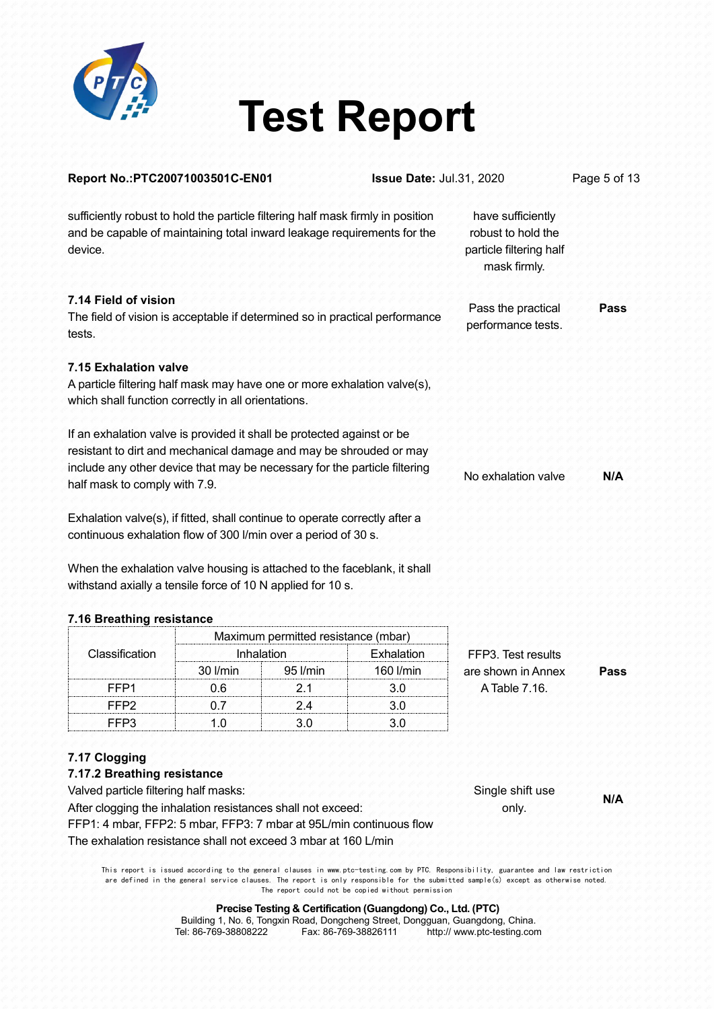

| sufficiently robust to hold the particle filtering half mask firmly in position<br>have sufficiently<br>and be capable of maintaining total inward leakage requirements for the<br>robust to hold the<br>particle filtering half<br>device.<br>mask firmly.<br>7.14 Field of vision<br>Pass the practical<br>The field of vision is acceptable if determined so in practical performance<br>performance tests.<br>tests.<br>7.15 Exhalation valve<br>A particle filtering half mask may have one or more exhalation valve(s),<br>which shall function correctly in all orientations.<br>If an exhalation valve is provided it shall be protected against or be<br>resistant to dirt and mechanical damage and may be shrouded or may<br>include any other device that may be necessary for the particle filtering<br>No exhalation valve<br>half mask to comply with 7.9.<br>Exhalation valve(s), if fitted, shall continue to operate correctly after a<br>continuous exhalation flow of 300 l/min over a period of 30 s.<br>When the exhalation valve housing is attached to the faceblank, it shall<br>withstand axially a tensile force of 10 N applied for 10 s.<br>7.16 Breathing resistance<br>Maximum permitted resistance (mbar) | Pass<br>N/A |
|-------------------------------------------------------------------------------------------------------------------------------------------------------------------------------------------------------------------------------------------------------------------------------------------------------------------------------------------------------------------------------------------------------------------------------------------------------------------------------------------------------------------------------------------------------------------------------------------------------------------------------------------------------------------------------------------------------------------------------------------------------------------------------------------------------------------------------------------------------------------------------------------------------------------------------------------------------------------------------------------------------------------------------------------------------------------------------------------------------------------------------------------------------------------------------------------------------------------------------------------|-------------|
|                                                                                                                                                                                                                                                                                                                                                                                                                                                                                                                                                                                                                                                                                                                                                                                                                                                                                                                                                                                                                                                                                                                                                                                                                                           |             |
|                                                                                                                                                                                                                                                                                                                                                                                                                                                                                                                                                                                                                                                                                                                                                                                                                                                                                                                                                                                                                                                                                                                                                                                                                                           |             |
|                                                                                                                                                                                                                                                                                                                                                                                                                                                                                                                                                                                                                                                                                                                                                                                                                                                                                                                                                                                                                                                                                                                                                                                                                                           |             |
|                                                                                                                                                                                                                                                                                                                                                                                                                                                                                                                                                                                                                                                                                                                                                                                                                                                                                                                                                                                                                                                                                                                                                                                                                                           |             |
|                                                                                                                                                                                                                                                                                                                                                                                                                                                                                                                                                                                                                                                                                                                                                                                                                                                                                                                                                                                                                                                                                                                                                                                                                                           |             |
|                                                                                                                                                                                                                                                                                                                                                                                                                                                                                                                                                                                                                                                                                                                                                                                                                                                                                                                                                                                                                                                                                                                                                                                                                                           |             |
|                                                                                                                                                                                                                                                                                                                                                                                                                                                                                                                                                                                                                                                                                                                                                                                                                                                                                                                                                                                                                                                                                                                                                                                                                                           |             |
| Classification<br>Inhalation<br>Exhalation<br>FFP3. Test results                                                                                                                                                                                                                                                                                                                                                                                                                                                                                                                                                                                                                                                                                                                                                                                                                                                                                                                                                                                                                                                                                                                                                                          |             |
| 30 l/min<br>95 I/min<br>160 l/min<br>are shown in Annex                                                                                                                                                                                                                                                                                                                                                                                                                                                                                                                                                                                                                                                                                                                                                                                                                                                                                                                                                                                                                                                                                                                                                                                   | Pass        |
| A Table 7.16.<br>FFP <sub>1</sub><br>0.6<br>2.1<br>3.0                                                                                                                                                                                                                                                                                                                                                                                                                                                                                                                                                                                                                                                                                                                                                                                                                                                                                                                                                                                                                                                                                                                                                                                    |             |
| FFP <sub>2</sub><br>0.7<br>2.4<br>3.0                                                                                                                                                                                                                                                                                                                                                                                                                                                                                                                                                                                                                                                                                                                                                                                                                                                                                                                                                                                                                                                                                                                                                                                                     |             |
| FFP3<br>1.0<br>3.0<br>3.0                                                                                                                                                                                                                                                                                                                                                                                                                                                                                                                                                                                                                                                                                                                                                                                                                                                                                                                                                                                                                                                                                                                                                                                                                 |             |
| 7.17 Clogging<br>7.17.2 Breathing resistance<br>Valved particle filtering half masks:<br>Single shift use<br>After clogging the inhalation resistances shall not exceed:<br>only.                                                                                                                                                                                                                                                                                                                                                                                                                                                                                                                                                                                                                                                                                                                                                                                                                                                                                                                                                                                                                                                         | N/A         |
| FFP1: 4 mbar, FFP2: 5 mbar, FFP3: 7 mbar at 95L/min continuous flow                                                                                                                                                                                                                                                                                                                                                                                                                                                                                                                                                                                                                                                                                                                                                                                                                                                                                                                                                                                                                                                                                                                                                                       |             |

This report is issued according to the general clauses in www.ptc-testing.com by PTC. Responsibility, guarantee and law restriction are defined in the general service clauses. The report is only responsible for the submitted sample(s) except as otherwise noted. The report could not be copied without permission

> **Precise Testing & Certification (Guangdong) Co., Ltd. (PTC)** Building 1, No. 6, Tongxin Road, Dongcheng Street, Dongguan, Guangdong, China. Tel: 86-769-38808222 Fax:86-769-38826111 http:// www.ptc-testing.com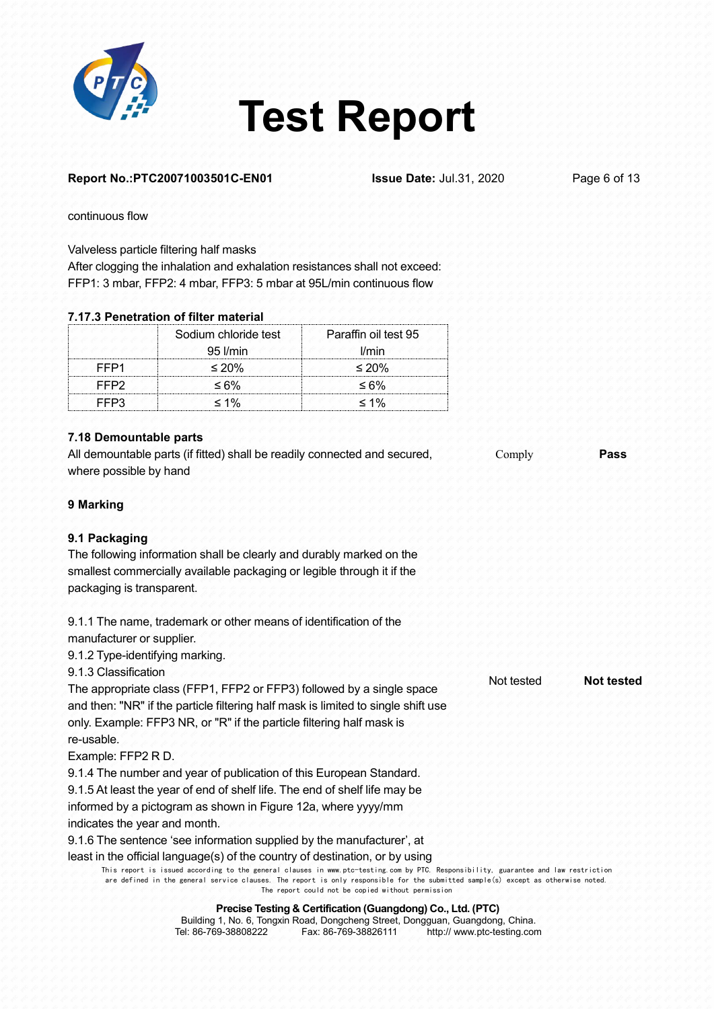

#### **Report No.:PTC20071003501C-EN01 Issue Date:** Jul.31, 2020 Page 6 of 13

Not tested **Not tested**

continuous flow

Valveless particle filtering half masks

After clogging the inhalation and exhalation resistances shall not exceed: FFP1: 3 mbar, FFP2: 4 mbar, FFP3: 5 mbar at 95L/min continuous flow

#### **7.17.3 Penetration of filter material**

|                  | Sodium chloride test<br>$95$ <i>l/min</i> | Paraffin oil test 95<br>l/min |
|------------------|-------------------------------------------|-------------------------------|
| FFP <sub>1</sub> | $\leq 20\%$                               | $\leq 20\%$                   |
| FFP <sub>2</sub> | $\leq 6\%$                                | $\leq 6\%$                    |
| FFP3             | $\leq 1\%$                                | $\leq 1\%$                    |

#### **7.18 Demountable parts**

All demountable parts (if fitted) shall be readily connected and secured, where possible by hand Comply **Pass**

#### **9 Marking**

#### **9.1 Packaging**

The following information shall be clearly and durably marked on the smallest commercially available packaging or legible through it if the packaging is transparent.

9.1.1 The name, trademark or other means of identification of the manufacturer or supplier.

9.1.2 Type-identifying marking.

9.1.3 Classification

The appropriate class (FFP1, FFP2 or FFP3) followed by a single space and then: "NR" if the particle filtering half mask is limited to single shift use only. Example: FFP3 NR, or "R" if the particle filtering half mask is re-usable.

Example: FFP2 R D.

9.1.4 The number and year of publication of this European Standard.

9.1.5 At least the year of end of shelf life. The end of shelf life may be

informed by a pictogram as shown in Figure 12a, where yyyy/mm

indicates the year and month.

9.1.6 The sentence 'see information supplied by the manufacturer', at

least in the official language(s) of the country of destination, or by using

This report is issued according to the general clauses in www.ptc-testing.com by PTC. Responsibility, guarantee and law restriction are defined in the general service clauses. The report is only responsible for the submitted sample(s) except as otherwise noted. The report could not be copied without permission

|                      |                      | Building 1, No. 6, Tongxin Road, Dongcheng Street, Dongguan, Guangdong, China. |  |
|----------------------|----------------------|--------------------------------------------------------------------------------|--|
| Tel: 86-769-38808222 | Fax: 86-769-38826111 | http:// www.ptc-testing.com                                                    |  |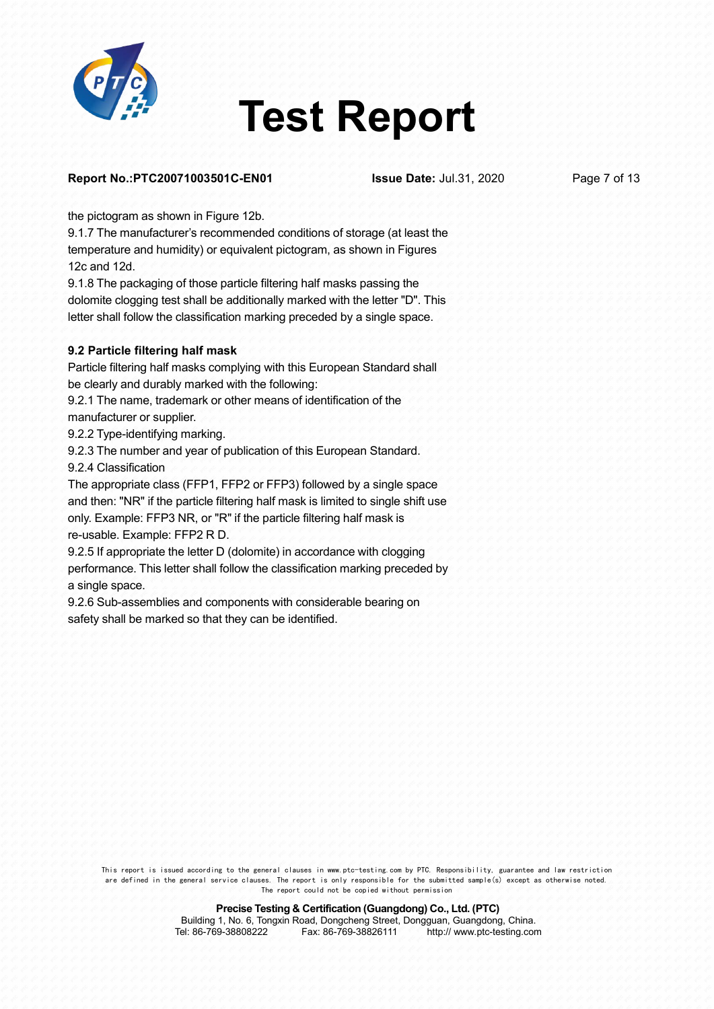

#### **Report No.:PTC20071003501C-EN01 Issue Date:** Jul.31, 2020 Page 7 of 13

the pictogram as shown in Figure 12b.<br>9.1.7 The manufacturer's recommended conditions of storage (at least the temperature and humidity) or equivalent pictogram, as shown in Figures 12c and 12d.

9.1.8 The packaging of those particle filtering half masks passing the dolomite clogging test shall be additionally marked with the letter "D". This letter shall follow the classification marking preceded by a single space.

#### **9.2 Particle filtering half mask**

Particle filtering half masks complying with this European Standard shall be clearly and durably marked with the following:

9.2.1 The name, trademark or other means of identification of the manufacturer or supplier.

9.2.2 Type-identifying marking.

9.2.3 The number and year of publication of this European Standard.

9.2.4 Classification

The appropriate class (FFP1, FFP2 or FFP3) followed by a single space and then: "NR" if the particle filtering half mask is limited to single shift use only. Example: FFP3 NR, or "R" if the particle filtering half mask is re-usable. Example: FFP2 R D.

9.2.5 If appropriate the letter D (dolomite) in accordance with clogging performance. This letter shall follow the classification marking preceded by a single space.

9.2.6 Sub-assemblies and components with considerable bearing on safety shall be marked so that they can be identified.

This report is issued according to the general clauses in www.ptc-testing.com by PTC. Responsibility, guarantee and law restriction are defined in the general service clauses. The report is only responsible for the submitted sample(s) except as otherwise noted. The report could not be copied without permission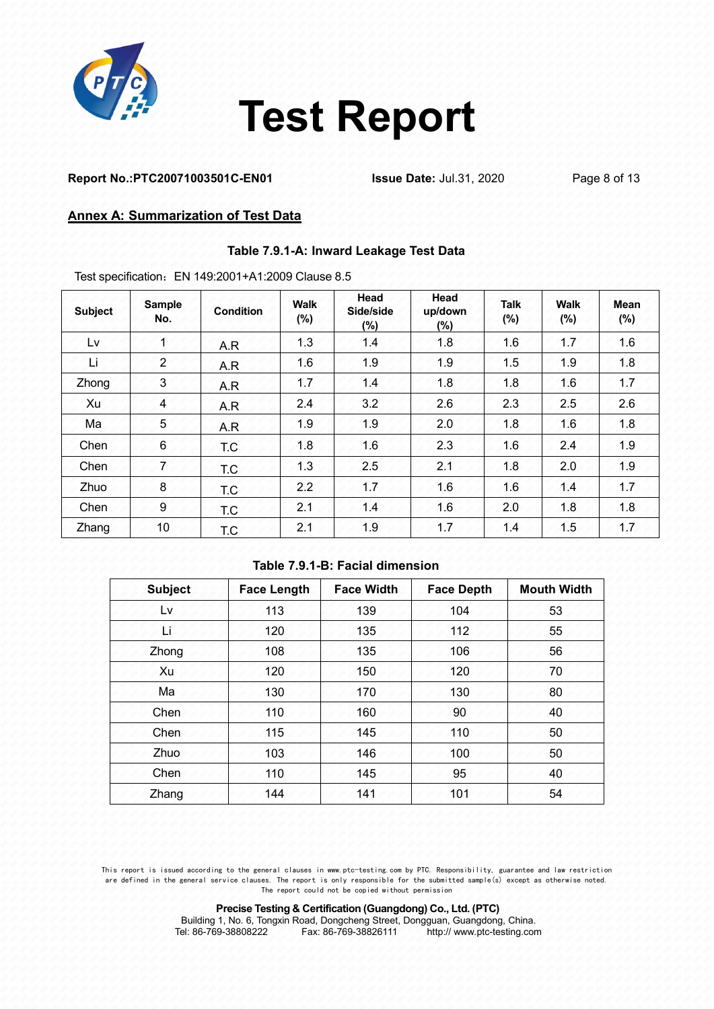

#### **Report No.:PTC20071003501C-EN01 Issue Date:** Jul.31, 2020 Page 8 of 13

#### **Annex A: Summarization of Test Data**

#### **Table 7.9.1-A: Inward Leakage Test Data**

Test specification:EN 149:2001+A1:2009 Clause 8.5

| <b>Subject</b> | <b>Sample</b><br>No. | <b>Condition</b> | <b>Walk</b><br>(%) | Head<br>Side/side<br>$(\%)$ | Head<br>up/down<br>$(\%)$ | <b>Talk</b><br>(%) | <b>Walk</b><br>$(\% )$ | Mean<br>$(\%)$ |
|----------------|----------------------|------------------|--------------------|-----------------------------|---------------------------|--------------------|------------------------|----------------|
| Lv             | 4                    | A.R              | 1.3                | 1.4                         | 1.8                       | 1.6                | 1.7                    | 1.6            |
| Li             | $\overline{2}$       | A.R              | 1.6                | 1.9                         | 1.9                       | 1.5                | 1.9                    | 1.8            |
| Zhong          | 3                    | A.R              | 1.7                | 1.4                         | 1.8                       | 1.8                | 1.6                    | 1.7            |
| Xu             | 4                    | A.R              | 2.4                | 3.2                         | 2.6                       | 2.3                | 2.5                    | 2.6            |
| Ma             | 5                    | A.R              | 1.9                | 1.9                         | 2.0                       | 1.8                | 1.6                    | 1.8            |
| Chen           | 6                    | T.C.             | 1.8                | 1.6                         | 2.3                       | 1.6                | 2.4                    | 1.9            |
| Chen           | 7                    | T.C              | 1.3                | 2.5                         | 2.1                       | 1.8                | 2.0                    | 1.9            |
| Zhuo           | 8                    | T.C              | 2.2                | 1.7                         | 1.6                       | 1.6                | 1.4                    | 1.7            |
| Chen           | 9                    | T.C              | 2.1                | 1.4                         | 1.6                       | 2.0                | 1.8                    | 1.8            |
| Zhang          | 10 <sub>1</sub>      | T.C              | 2.1                | 1.9                         | 1.7                       | 1.4                | 1.5                    | 1.7            |

#### **Table 7.9.1-B: Facial dimension**

| Subject | Face Length | <b>Face Width</b> | <b>Face Depth</b> | <b>Mouth Width</b> |
|---------|-------------|-------------------|-------------------|--------------------|
| Lv.     | 113         | 139               | 104               | 53                 |
| Li      | 120         | 135               | 112               | 55                 |
| Zhong   | 108         | 135               | 106               | 56                 |
| Xu      | 120         | 150               | 120               | 70                 |
| Ma      | 130         | 170               | 130               | 80                 |
| Chen    | 110         | 160               | 90                | 40                 |
| Chen    | 115         | 145               | 110               | 50                 |
| Zhuo    | 103         | 146               | 100               | 50                 |
| Chen    | 110         | 145               | 95                | 40                 |
| Zhang   | 144         | 141               | 101               | 54                 |

This report is issued according to the general clauses in www.ptc-testing.com by PTC. Responsibility, guarantee and law restriction are defined in the general service clauses. The report is only responsible for the submitted sample(s) except as otherwise noted. The report could not be copied without permission

|                      | Building 1, No. 6, Tongxin Road, Dongcheng Street, Dongguan, Guangdong, China. |                             |  |
|----------------------|--------------------------------------------------------------------------------|-----------------------------|--|
| Tel: 86-769-38808222 | Fax: 86-769-38826111                                                           | http:// www.ptc-testing.com |  |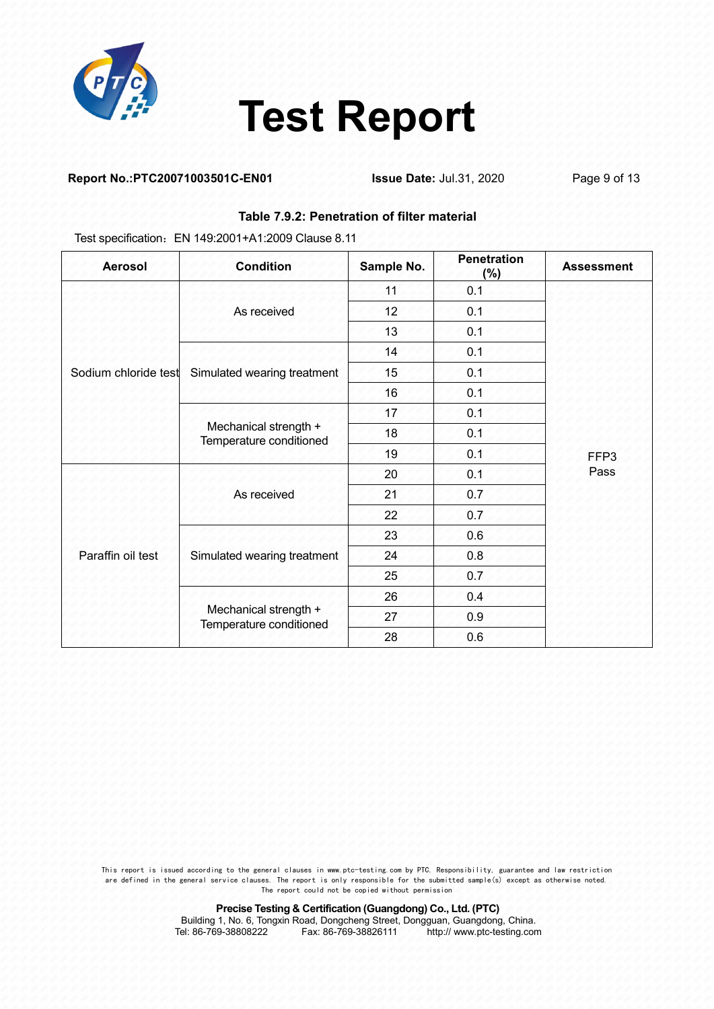

#### **Report No.:PTC20071003501C-EN01 Issue Date:** Jul.31, 2020 Page 9 of 13

#### **Table 7.9.2: Penetration of filter material**

Test specification:EN 149:2001+A1:2009 Clause 8.11

| <b>Aerosol</b>       | <b>Condition</b>                                 | Sample No. | <b>Penetration</b><br>(%) | <b>Assessment</b> |
|----------------------|--------------------------------------------------|------------|---------------------------|-------------------|
|                      |                                                  | 11         | 0.1                       |                   |
|                      | As received                                      | 12         | 0.1                       |                   |
|                      |                                                  | 13         | 0.1                       |                   |
|                      |                                                  | 14         | 0.1                       |                   |
| Sodium chloride test | Simulated wearing treatment                      | 15         | 0.1                       |                   |
|                      |                                                  | 16         | 0.1                       |                   |
| Paraffin oil test    |                                                  | 17         | 0.1                       |                   |
|                      | Mechanical strength +<br>Temperature conditioned | 18         | 0.1                       | FFP3<br>Pass      |
|                      |                                                  | 19         | 0.1                       |                   |
|                      | As received                                      | 20         | 0.1                       |                   |
|                      |                                                  | 21         | 0.7                       |                   |
|                      |                                                  | 22         | 0.7                       |                   |
|                      |                                                  | 23         | 0.6                       |                   |
|                      | Simulated wearing treatment                      | 24         | 0.8                       |                   |
|                      |                                                  | 25         | 0.7                       |                   |
|                      |                                                  | 26         | 0.4                       |                   |
|                      | Mechanical strength +<br>Temperature conditioned | 27         | 0.9                       |                   |
|                      |                                                  | 28         | 0.6                       |                   |

This report is issued according to the general clauses in www.ptc-testing.com by PTC. Responsibility, guarantee and law restriction are defined in the general service clauses. The report is only responsible for the submitted sample(s) except as otherwise noted. The report could not be copied without permission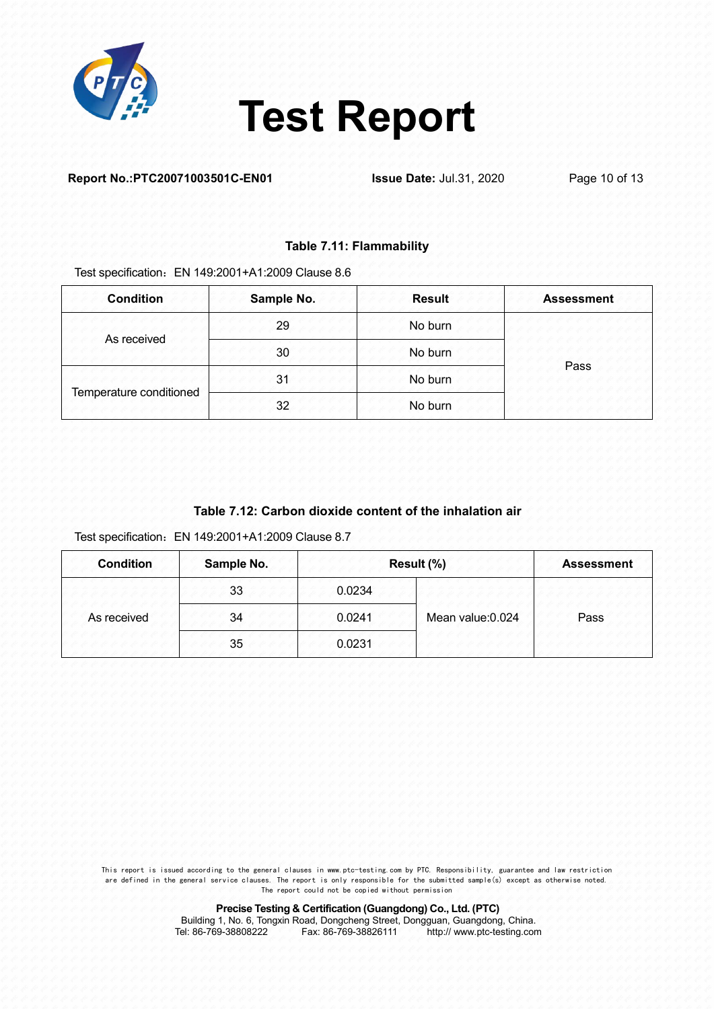

#### **Report No.:PTC20071003501C-EN01 Issue Date:** Jul.31, 2020 Page 10 of 13

#### **Table 7.11: Flammability**

Test specification: EN 149:2001+A1:2009 Clause 8.6

| <b>Condition</b>        | Sample No. | <b>Result</b> | <b>Assessment</b> |
|-------------------------|------------|---------------|-------------------|
| As received             | 29         | No burn       |                   |
|                         | 30         | No burn       | Pass              |
| Temperature conditioned | 31         | No burn       |                   |
|                         | 32         | No burn       |                   |

### **Table 7.12: Carbon dioxide content of the inhalation air**

Test specification:EN 149:2001+A1:2009 Clause 8.7

| <b>Condition</b> | Sample No. |        | Result (%)        | <b>Assessment</b> |
|------------------|------------|--------|-------------------|-------------------|
|                  | 33         | 0.0234 |                   |                   |
| As received      | 34         | 0.0241 | Mean value: 0.024 | Pass              |
|                  | 35         | 0.0231 |                   |                   |

This report is issued according to the general clauses in www.ptc-testing.com by PTC. Responsibility, guarantee and law restriction are defined in the general service clauses. The report is only responsible for the submitted sample(s) except as otherwise noted. The report could not be copied without permission

**Precise Testing & Certification (Guangdong) Co., Ltd. (PTC)**

Building 1, No. 6, Tongxin Road, Dongcheng Street, Dongguan, Guangdong, China.<br>Tel: 86-769-38808222 Fax: 86-769-38826111 http:// www.ptc-testing.com http:// www.ptc-testing.com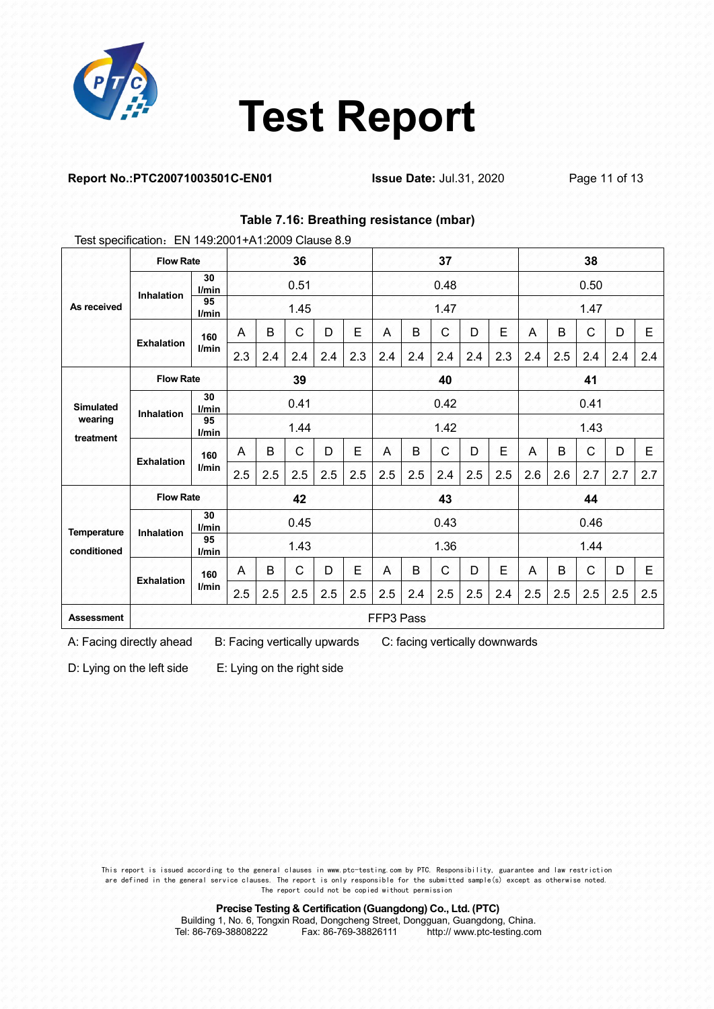

**Table 7.16: Breathing resistance (mbar)**

#### **Report No.:PTC20071003501C-EN01 Issue Date:** Jul.31, 2020 Page 11 of 13

|                      | Test specification: EN 149:2001+A1:2009 Clause 8.9 |             |                |      |              |      |      |              |     |              |     |      |      |     |              |     |     |  |
|----------------------|----------------------------------------------------|-------------|----------------|------|--------------|------|------|--------------|-----|--------------|-----|------|------|-----|--------------|-----|-----|--|
|                      | <b>Flow Rate</b>                                   |             | 36             |      |              | 37   |      |              |     | 38           |     |      |      |     |              |     |     |  |
|                      | Inhalation                                         | 30<br>l/min | 0.51           |      |              | 0.48 |      |              |     | 0.50         |     |      |      |     |              |     |     |  |
| As received          | 95<br>l/min                                        |             |                | 1.45 |              |      |      | 1.47         |     |              |     |      | 1.47 |     |              |     |     |  |
|                      | <b>Exhalation</b>                                  | 160         | A              | B    | $\mathsf{C}$ | D    | E    | A            | B   | $\mathsf{C}$ | D   | E    | Α    | B   | $\mathsf{C}$ | D   | Ε   |  |
|                      |                                                    | l/min       | 2.3            | 2.4  | 2.4          | 2.4  | 2.3  | 2.4          | 2.4 | 2.4          | 2.4 | 2.3  | 2.4  | 2.5 | 2.4          | 2.4 | 2.4 |  |
|                      | <b>Flow Rate</b>                                   |             | 39             |      |              |      | 40   |              |     |              | 41  |      |      |     |              |     |     |  |
| <b>Simulated</b>     | 30<br>l/min                                        |             | 0.41           |      |              |      | 0.42 |              |     |              |     | 0.41 |      |     |              |     |     |  |
| wearing<br>treatment | Inhalation<br>95<br>l/min                          |             | 1.44           |      |              |      | 1.42 |              |     |              |     | 1.43 |      |     |              |     |     |  |
|                      | <b>Exhalation</b>                                  | 160         | $\overline{A}$ | B    | $\mathsf{C}$ | D    | E    | A            | B   | $\mathsf{C}$ | Ð   | £    | Α    | B   | $\mathsf{C}$ | D   | E   |  |
|                      |                                                    | l/min       | 2.5            | 2.5  | 2.5          | 2.5  | 2.5  | 2.5          | 2.5 | 2.4          | 2.5 | 2.5  | 2.6  | 2.6 | 2.7          | 2.7 | 2.7 |  |
|                      | <b>Flow Rate</b><br>42                             |             | 43             |      |              |      |      | 44           |     |              |     |      |      |     |              |     |     |  |
| Temperature          |                                                    | 30<br>l/min |                | 0.45 |              |      | 0.43 |              |     |              |     | 0.46 |      |     |              |     |     |  |
| conditioned          | Inhalation<br>95                                   | l/min       | 1.43           |      |              |      | 1.36 |              |     |              |     | 1.44 |      |     |              |     |     |  |
|                      | <b>Exhalation</b>                                  | 160         | $\overline{A}$ | B    | C            | D    | Е    | $\mathsf{A}$ | B   | $\mathbf{C}$ | Ð   | £.   | A    | B   | C            | D   | Ε   |  |
|                      |                                                    | l/min       | 2.5            | 2.5  | 2.5          | 2.5  | 2.5  | 2.5          | 2.4 | 2.5          | 2.5 | 2.4  | 2.5  | 2.5 | 2.5          | 2.5 | 2.5 |  |
| <b>Assessment</b>    |                                                    |             |                |      |              |      |      | FFP3 Pass    |     |              |     |      |      |     |              |     |     |  |

A: Facing directly ahead B: Facing vertically upwards C: facing vertically downwards

D: Lying on the left side E: Lying on the right side

This report is issued according to the general clauses in www.ptc-testing.com by PTC. Responsibility, guarantee and law restriction are defined in the general service clauses. The report is only responsible for the submitted sample(s) except as otherwise noted. The report could not be copied without permission

**Precise Testing & Certification (Guangdong) Co., Ltd. (PTC)**

Building 1, No. 6, Tongxin Road, Dongcheng Street, Dongguan, Guangdong, China.<br>Tel: 86-769-38808222 Fax: 86-769-38826111 http:// www.ptc-testing.com http:// www.ptc-testing.com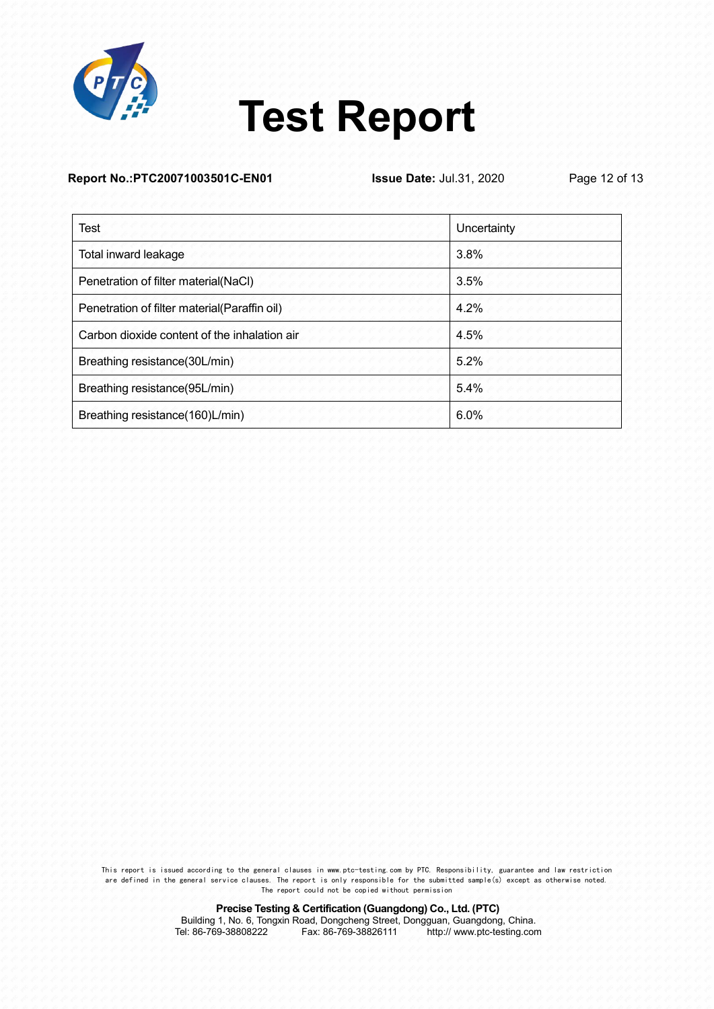

|  | Report No.:PTC20071003501C-EN01 |
|--|---------------------------------|
|--|---------------------------------|

**Issue Date:** Jul.31, 2020 Page 12 of 13

| <b>Test</b>                                  | Uncertainty |
|----------------------------------------------|-------------|
| Total inward leakage                         | 3.8%        |
| Penetration of filter material(NaCl)         | 3.5%        |
| Penetration of filter material(Paraffin oil) | 4.2%        |
| Carbon dioxide content of the inhalation air | 4.5%        |
| Breathing resistance(30L/min)                | 5.2%        |
| Breathing resistance(95L/min)                | 5.4%        |
| Breathing resistance(160)L/min)              | 6.0%        |

This report is issued according to the general clauses in www.ptc-testing.com by PTC. Responsibility, guarantee and law restriction are defined in the general service clauses. The report is only responsible for the submitted sample(s) except as otherwise noted. The report could not be copied without permission

> **Precise Testing & Certification (Guangdong) Co., Ltd. (PTC)** Building 1, No. 6, Tongxin Road, Dongcheng Street, Dongguan, Guangdong, China.<br>Tel: 86-769-38808222 Fax: 86-769-38826111 http:// www.ptc-testing.com http:// www.ptc-testing.com